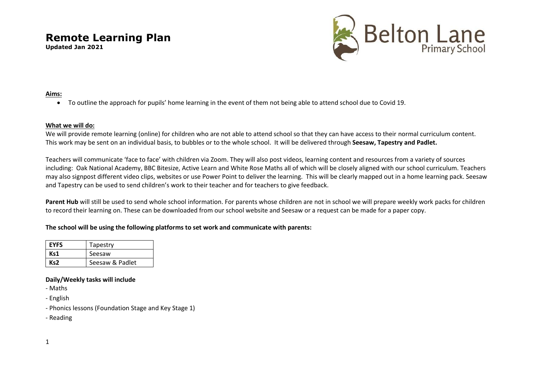**Updated Jan 2021**



### **Aims:**

To outline the approach for pupils' home learning in the event of them not being able to attend school due to Covid 19.

### **What we will do:**

We will provide remote learning (online) for children who are not able to attend school so that they can have access to their normal curriculum content. This work may be sent on an individual basis, to bubbles or to the whole school. It will be delivered through **Seesaw, Tapestry and Padlet.**

Teachers will communicate 'face to face' with children via Zoom. They will also post videos, learning content and resources from a variety of sources including: Oak National Academy, BBC Bitesize, Active Learn and White Rose Maths all of which will be closely aligned with our school curriculum. Teachers may also signpost different video clips, websites or use Power Point to deliver the learning. This will be clearly mapped out in a home learning pack. Seesaw and Tapestry can be used to send children's work to their teacher and for teachers to give feedback.

**Parent Hub** will still be used to send whole school information. For parents whose children are not in school we will prepare weekly work packs for children to record their learning on. These can be downloaded from our school website and Seesaw or a request can be made for a paper copy.

### **The school will be using the following platforms to set work and communicate with parents:**

| <b>EYFS</b> | Tapestry        |
|-------------|-----------------|
| Ks1         | Seesaw          |
| Ks2         | Seesaw & Padlet |

### **Daily/Weekly tasks will include**

- Maths

- English

- Phonics lessons (Foundation Stage and Key Stage 1)
- Reading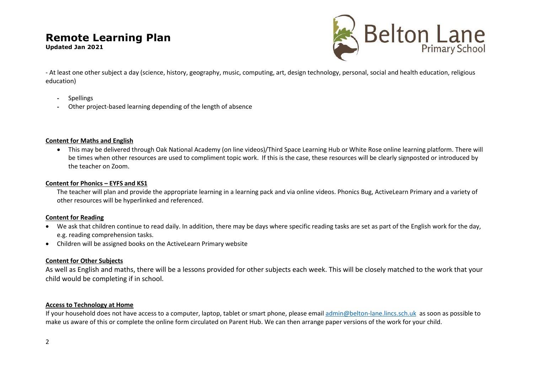**Updated Jan 2021**



- At least one other subject a day (science, history, geography, music, computing, art, design technology, personal, social and health education, religious education)

- Spellings
- Other project-based learning depending of the length of absence

# **Content for Maths and English**

 This may be delivered through Oak National Academy (on line videos)/Third Space Learning Hub or White Rose online learning platform. There will be times when other resources are used to compliment topic work. If this is the case, these resources will be clearly signposted or introduced by the teacher on Zoom.

### **Content for Phonics – EYFS and KS1**

The teacher will plan and provide the appropriate learning in a learning pack and via online videos. Phonics Bug, ActiveLearn Primary and a variety of other resources will be hyperlinked and referenced.

## **Content for Reading**

- We ask that children continue to read daily. In addition, there may be days where specific reading tasks are set as part of the English work for the day, e.g. reading comprehension tasks.
- Children will be assigned books on the ActiveLearn Primary website

## **Content for Other Subjects**

As well as English and maths, there will be a lessons provided for other subjects each week. This will be closely matched to the work that your child would be completing if in school.

## **Access to Technology at Home**

If your household does not have access to a computer, laptop, tablet or smart phone, please email [admin@belton-lane.lincs.sch.uk](mailto:admin@belton-lane.lincs.sch.uk) as soon as possible to make us aware of this or complete the online form circulated on Parent Hub. We can then arrange paper versions of the work for your child.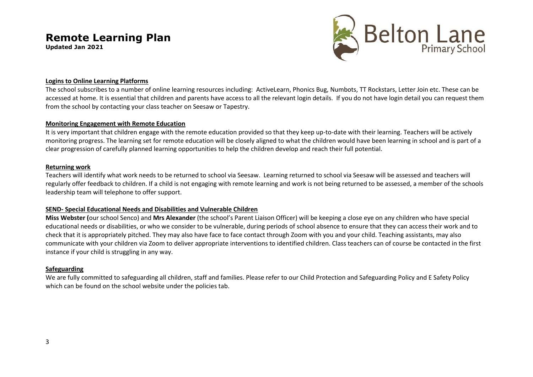**Updated Jan 2021**



### **Logins to Online Learning Platforms**

The school subscribes to a number of online learning resources including: ActiveLearn, Phonics Bug, Numbots, TT Rockstars, Letter Join etc. These can be accessed at home. It is essential that children and parents have access to all the relevant login details. If you do not have login detail you can request them from the school by contacting your class teacher on Seesaw or Tapestry.

### **Monitoring Engagement with Remote Education**

It is very important that children engage with the remote education provided so that they keep up-to-date with their learning. Teachers will be actively monitoring progress. The learning set for remote education will be closely aligned to what the children would have been learning in school and is part of a clear progression of carefully planned learning opportunities to help the children develop and reach their full potential.

### **Returning work**

Teachers will identify what work needs to be returned to school via Seesaw. Learning returned to school via Seesaw will be assessed and teachers will regularly offer feedback to children. If a child is not engaging with remote learning and work is not being returned to be assessed, a member of the schools leadership team will telephone to offer support.

## **SEND- Special Educational Needs and Disabilities and Vulnerable Children**

**Miss Webster (**our school Senco) and **Mrs Alexander** (the school's Parent Liaison Officer) will be keeping a close eye on any children who have special educational needs or disabilities, or who we consider to be vulnerable, during periods of school absence to ensure that they can access their work and to check that it is appropriately pitched. They may also have face to face contact through Zoom with you and your child. Teaching assistants, may also communicate with your children via Zoom to deliver appropriate interventions to identified children. Class teachers can of course be contacted in the first instance if your child is struggling in any way.

## **Safeguarding**

We are fully committed to safeguarding all children, staff and families. Please refer to our Child Protection and Safeguarding Policy and E Safety Policy which can be found on the school website under the policies tab.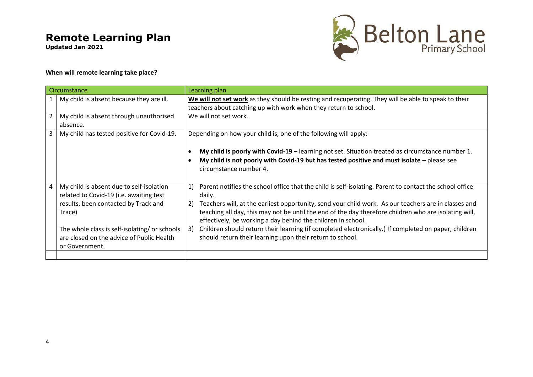**Updated Jan 2021**



# **When will remote learning take place?**

| Circumstance   |                                                                                                                                                                                                                                                       |                                                                  | Learning plan                                                                                                                                                                                                                                                                                                                                                                                                                                                                                                                                                           |
|----------------|-------------------------------------------------------------------------------------------------------------------------------------------------------------------------------------------------------------------------------------------------------|------------------------------------------------------------------|-------------------------------------------------------------------------------------------------------------------------------------------------------------------------------------------------------------------------------------------------------------------------------------------------------------------------------------------------------------------------------------------------------------------------------------------------------------------------------------------------------------------------------------------------------------------------|
|                | My child is absent because they are ill.                                                                                                                                                                                                              |                                                                  | We will not set work as they should be resting and recuperating. They will be able to speak to their<br>teachers about catching up with work when they return to school.                                                                                                                                                                                                                                                                                                                                                                                                |
| $2^{\circ}$    |                                                                                                                                                                                                                                                       |                                                                  | We will not set work.                                                                                                                                                                                                                                                                                                                                                                                                                                                                                                                                                   |
|                | My child is absent through unauthorised<br>absence.                                                                                                                                                                                                   |                                                                  |                                                                                                                                                                                                                                                                                                                                                                                                                                                                                                                                                                         |
| $\overline{3}$ | My child has tested positive for Covid-19.                                                                                                                                                                                                            | Depending on how your child is, one of the following will apply: |                                                                                                                                                                                                                                                                                                                                                                                                                                                                                                                                                                         |
|                |                                                                                                                                                                                                                                                       |                                                                  | My child is poorly with Covid-19 – learning not set. Situation treated as circumstance number 1.<br>My child is not poorly with Covid-19 but has tested positive and must isolate $-$ please see<br>circumstance number 4.                                                                                                                                                                                                                                                                                                                                              |
| $\overline{4}$ | My child is absent due to self-isolation<br>related to Covid-19 (i.e. awaiting test<br>results, been contacted by Track and<br>Trace)<br>The whole class is self-isolating/ or schools<br>are closed on the advice of Public Health<br>or Government. | 1)<br>2)<br>3)                                                   | Parent notifies the school office that the child is self-isolating. Parent to contact the school office<br>daily.<br>Teachers will, at the earliest opportunity, send your child work. As our teachers are in classes and<br>teaching all day, this may not be until the end of the day therefore children who are isolating will,<br>effectively, be working a day behind the children in school.<br>Children should return their learning (if completed electronically.) If completed on paper, children<br>should return their learning upon their return to school. |
|                |                                                                                                                                                                                                                                                       |                                                                  |                                                                                                                                                                                                                                                                                                                                                                                                                                                                                                                                                                         |